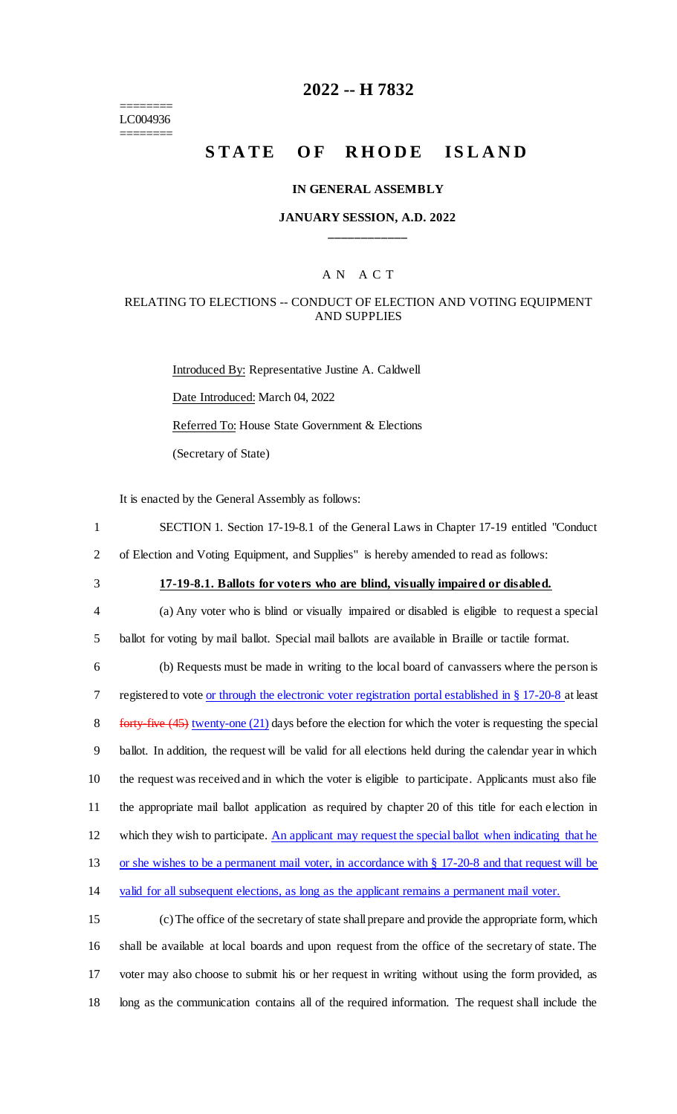======== LC004936 ========

# **2022 -- H 7832**

# **STATE OF RHODE ISLAND**

#### **IN GENERAL ASSEMBLY**

## **JANUARY SESSION, A.D. 2022 \_\_\_\_\_\_\_\_\_\_\_\_**

## A N A C T

## RELATING TO ELECTIONS -- CONDUCT OF ELECTION AND VOTING EQUIPMENT AND SUPPLIES

Introduced By: Representative Justine A. Caldwell Date Introduced: March 04, 2022 Referred To: House State Government & Elections (Secretary of State)

It is enacted by the General Assembly as follows:

- 1 SECTION 1. Section 17-19-8.1 of the General Laws in Chapter 17-19 entitled "Conduct 2 of Election and Voting Equipment, and Supplies" is hereby amended to read as follows:
- 
- 

3 **17-19-8.1. Ballots for voters who are blind, visually impaired or disabled.**

4 (a) Any voter who is blind or visually impaired or disabled is eligible to request a special 5 ballot for voting by mail ballot. Special mail ballots are available in Braille or tactile format.

6 (b) Requests must be made in writing to the local board of canvassers where the person is 7 registered to vote <u>or through the electronic voter registration portal established in § 17-20-8</u> at least 8 forty-five  $(45)$  twenty-one  $(21)$  days before the election for which the voter is requesting the special 9 ballot. In addition, the request will be valid for all elections held during the calendar year in which 10 the request was received and in which the voter is eligible to participate. Applicants must also file 11 the appropriate mail ballot application as required by chapter 20 of this title for each election in 12 which they wish to participate. An applicant may request the special ballot when indicating that he 13 or she wishes to be a permanent mail voter, in accordance with § 17-20-8 and that request will be 14 valid for all subsequent elections, as long as the applicant remains a permanent mail voter.

 (c) The office of the secretary of state shall prepare and provide the appropriate form, which shall be available at local boards and upon request from the office of the secretary of state. The voter may also choose to submit his or her request in writing without using the form provided, as long as the communication contains all of the required information. The request shall include the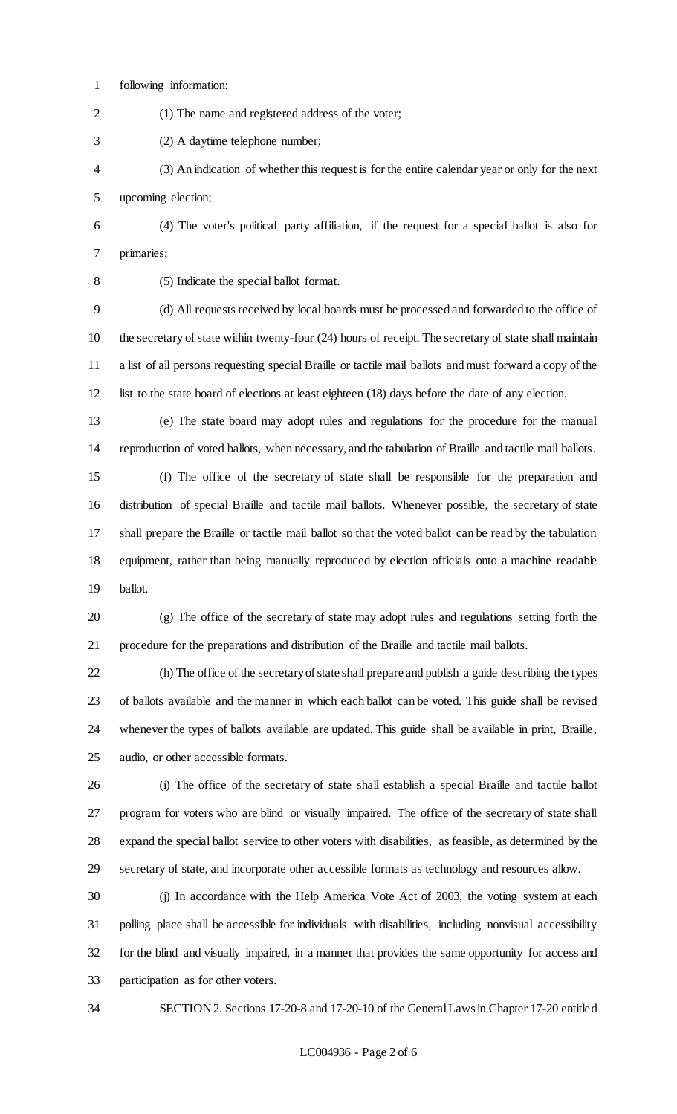following information:

(1) The name and registered address of the voter;

(2) A daytime telephone number;

 (3) An indication of whether this request is for the entire calendar year or only for the next upcoming election;

 (4) The voter's political party affiliation, if the request for a special ballot is also for primaries;

(5) Indicate the special ballot format.

 (d) All requests received by local boards must be processed and forwarded to the office of the secretary of state within twenty-four (24) hours of receipt. The secretary of state shall maintain a list of all persons requesting special Braille or tactile mail ballots and must forward a copy of the list to the state board of elections at least eighteen (18) days before the date of any election.

 (e) The state board may adopt rules and regulations for the procedure for the manual reproduction of voted ballots, when necessary, and the tabulation of Braille and tactile mail ballots.

 (f) The office of the secretary of state shall be responsible for the preparation and distribution of special Braille and tactile mail ballots. Whenever possible, the secretary of state shall prepare the Braille or tactile mail ballot so that the voted ballot can be read by the tabulation equipment, rather than being manually reproduced by election officials onto a machine readable ballot.

 (g) The office of the secretary of state may adopt rules and regulations setting forth the procedure for the preparations and distribution of the Braille and tactile mail ballots.

 (h) The office of the secretary of state shall prepare and publish a guide describing the types of ballots available and the manner in which each ballot can be voted. This guide shall be revised whenever the types of ballots available are updated. This guide shall be available in print, Braille, audio, or other accessible formats.

 (i) The office of the secretary of state shall establish a special Braille and tactile ballot program for voters who are blind or visually impaired. The office of the secretary of state shall expand the special ballot service to other voters with disabilities, as feasible, as determined by the secretary of state, and incorporate other accessible formats as technology and resources allow.

 (j) In accordance with the Help America Vote Act of 2003, the voting system at each polling place shall be accessible for individuals with disabilities, including nonvisual accessibility for the blind and visually impaired, in a manner that provides the same opportunity for access and participation as for other voters.

SECTION 2. Sections 17-20-8 and 17-20-10 of the General Laws in Chapter 17-20 entitled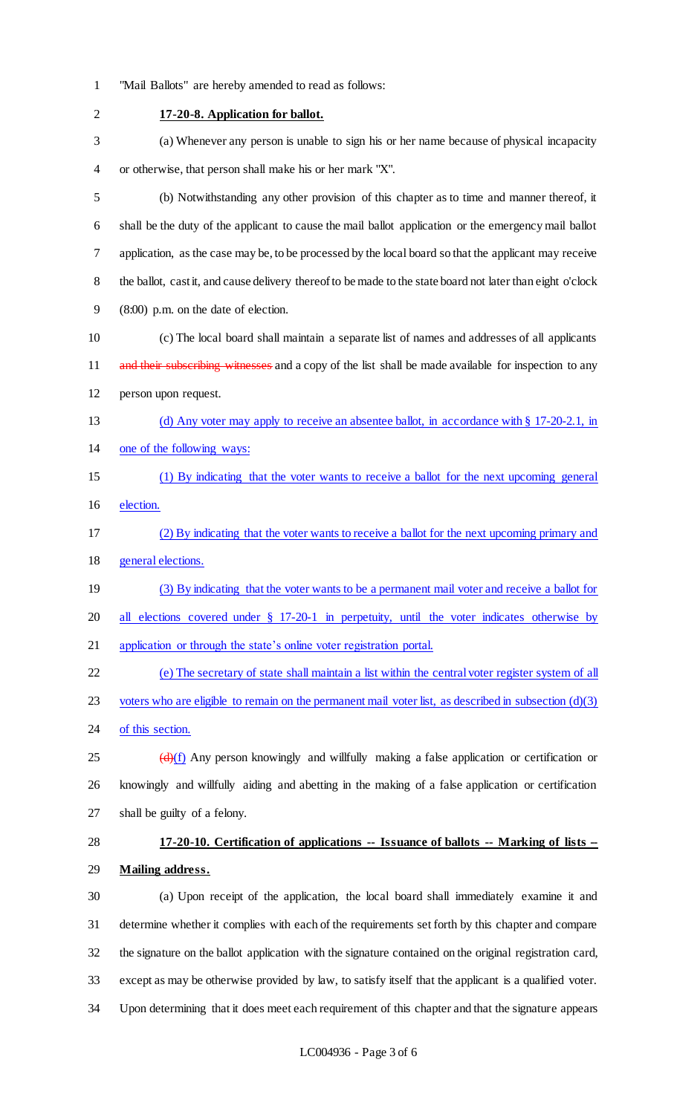- "Mail Ballots" are hereby amended to read as follows:
- **17-20-8. Application for ballot.** (a) Whenever any person is unable to sign his or her name because of physical incapacity or otherwise, that person shall make his or her mark "X". (b) Notwithstanding any other provision of this chapter as to time and manner thereof, it shall be the duty of the applicant to cause the mail ballot application or the emergency mail ballot application, as the case may be, to be processed by the local board so that the applicant may receive 8 the ballot, cast it, and cause delivery thereof to be made to the state board not later than eight o'clock (8:00) p.m. on the date of election. (c) The local board shall maintain a separate list of names and addresses of all applicants 11 and their subscribing witnesses and a copy of the list shall be made available for inspection to any person upon request. (d) Any voter may apply to receive an absentee ballot, in accordance with § 17-20-2.1, in one of the following ways: (1) By indicating that the voter wants to receive a ballot for the next upcoming general election. (2) By indicating that the voter wants to receive a ballot for the next upcoming primary and general elections. (3) By indicating that the voter wants to be a permanent mail voter and receive a ballot for 20 all elections covered under § 17-20-1 in perpetuity, until the voter indicates otherwise by application or through the state's online voter registration portal. (e) The secretary of state shall maintain a list within the central voter register system of all 23 voters who are eligible to remain on the permanent mail voter list, as described in subsection  $(d)(3)$ 24 of this section.  $\left(\frac{d}{dx}\right)(f)$  Any person knowingly and willfully making a false application or certification or knowingly and willfully aiding and abetting in the making of a false application or certification shall be guilty of a felony. **17-20-10. Certification of applications -- Issuance of ballots -- Marking of lists -- Mailing address.** (a) Upon receipt of the application, the local board shall immediately examine it and determine whether it complies with each of the requirements set forth by this chapter and compare the signature on the ballot application with the signature contained on the original registration card, except as may be otherwise provided by law, to satisfy itself that the applicant is a qualified voter. Upon determining that it does meet each requirement of this chapter and that the signature appears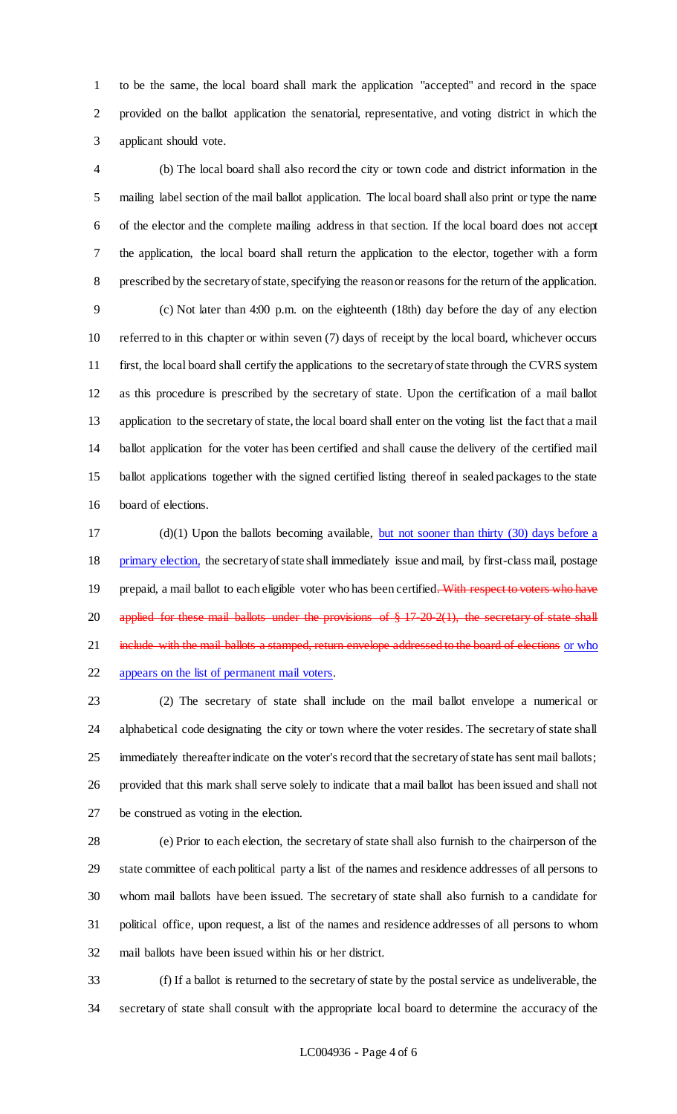to be the same, the local board shall mark the application "accepted" and record in the space provided on the ballot application the senatorial, representative, and voting district in which the applicant should vote.

 (b) The local board shall also record the city or town code and district information in the mailing label section of the mail ballot application. The local board shall also print or type the name of the elector and the complete mailing address in that section. If the local board does not accept the application, the local board shall return the application to the elector, together with a form prescribed by the secretary of state, specifying the reason or reasons for the return of the application.

 (c) Not later than 4:00 p.m. on the eighteenth (18th) day before the day of any election referred to in this chapter or within seven (7) days of receipt by the local board, whichever occurs first, the local board shall certify the applications to the secretary of state through the CVRS system as this procedure is prescribed by the secretary of state. Upon the certification of a mail ballot application to the secretary of state, the local board shall enter on the voting list the fact that a mail ballot application for the voter has been certified and shall cause the delivery of the certified mail ballot applications together with the signed certified listing thereof in sealed packages to the state board of elections.

 (d)(1) Upon the ballots becoming available, but not sooner than thirty (30) days before a 18 primary election, the secretary of state shall immediately issue and mail, by first-class mail, postage 19 prepaid, a mail ballot to each eligible voter who has been certified. With respect to voters who have 20 applied for these mail ballots under the provisions of § 17-20-2(1), the secretary of state shall 21 include with the mail ballots a stamped, return envelope addressed to the board of elections or who appears on the list of permanent mail voters.

 (2) The secretary of state shall include on the mail ballot envelope a numerical or alphabetical code designating the city or town where the voter resides. The secretary of state shall immediately thereafter indicate on the voter's record that the secretary of state has sent mail ballots; provided that this mark shall serve solely to indicate that a mail ballot has been issued and shall not be construed as voting in the election.

 (e) Prior to each election, the secretary of state shall also furnish to the chairperson of the state committee of each political party a list of the names and residence addresses of all persons to whom mail ballots have been issued. The secretary of state shall also furnish to a candidate for political office, upon request, a list of the names and residence addresses of all persons to whom mail ballots have been issued within his or her district.

 (f) If a ballot is returned to the secretary of state by the postal service as undeliverable, the secretary of state shall consult with the appropriate local board to determine the accuracy of the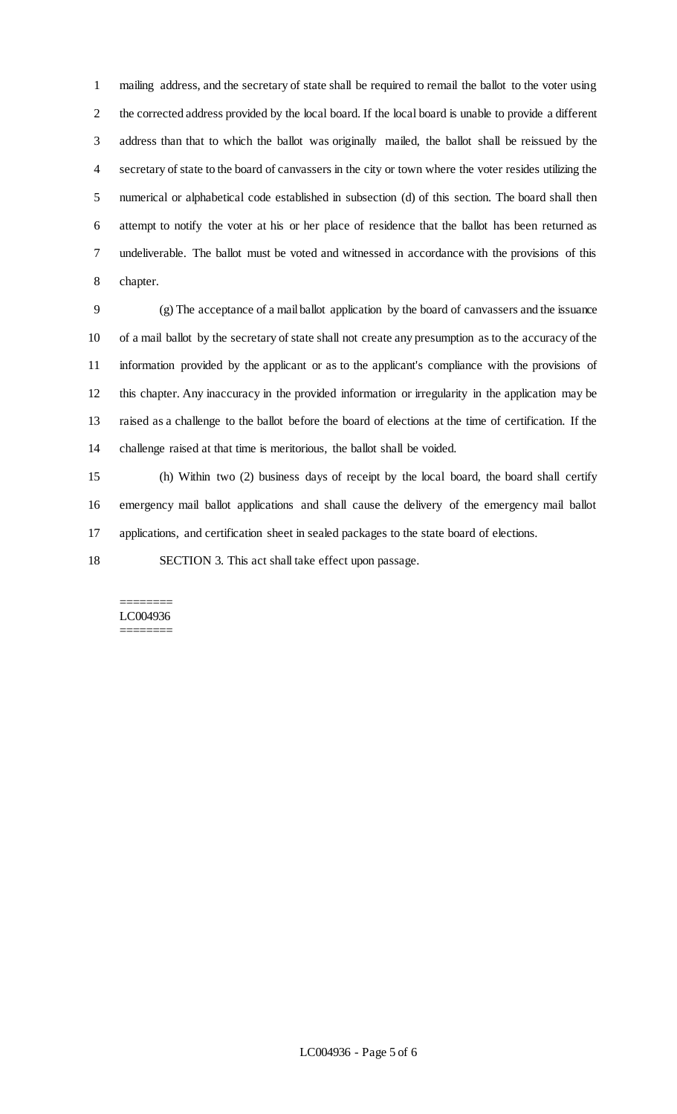mailing address, and the secretary of state shall be required to remail the ballot to the voter using the corrected address provided by the local board. If the local board is unable to provide a different address than that to which the ballot was originally mailed, the ballot shall be reissued by the secretary of state to the board of canvassers in the city or town where the voter resides utilizing the numerical or alphabetical code established in subsection (d) of this section. The board shall then attempt to notify the voter at his or her place of residence that the ballot has been returned as undeliverable. The ballot must be voted and witnessed in accordance with the provisions of this chapter.

 (g) The acceptance of a mail ballot application by the board of canvassers and the issuance of a mail ballot by the secretary of state shall not create any presumption as to the accuracy of the information provided by the applicant or as to the applicant's compliance with the provisions of this chapter. Any inaccuracy in the provided information or irregularity in the application may be raised as a challenge to the ballot before the board of elections at the time of certification. If the challenge raised at that time is meritorious, the ballot shall be voided.

 (h) Within two (2) business days of receipt by the local board, the board shall certify emergency mail ballot applications and shall cause the delivery of the emergency mail ballot applications, and certification sheet in sealed packages to the state board of elections.

SECTION 3. This act shall take effect upon passage.

#### ======== LC004936 ========